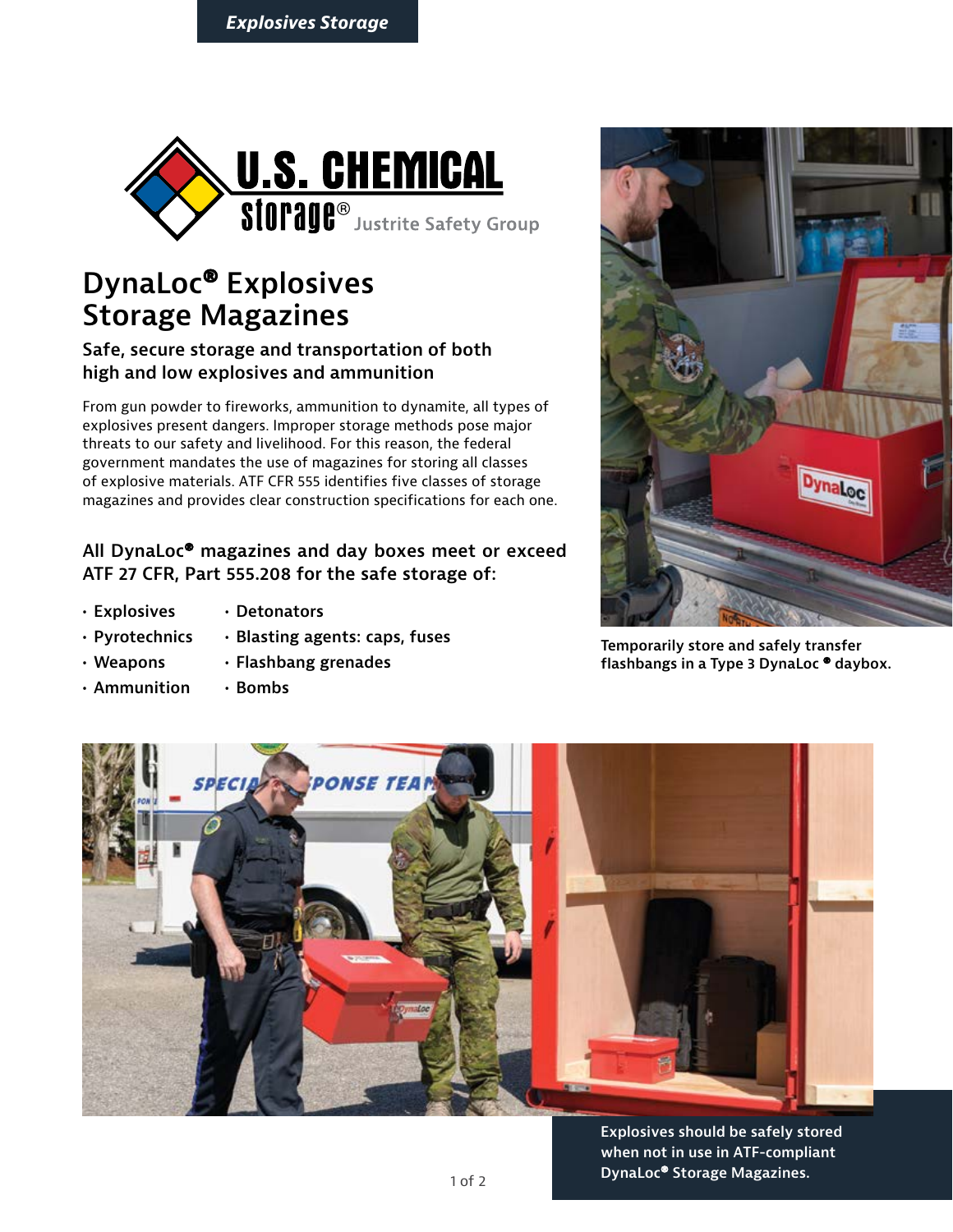

# **DynaLoc® Explosives Storage Magazines**

#### **Safe, secure storage and transportation of both high and low explosives and ammunition**

From gun powder to fireworks, ammunition to dynamite, all types of explosives present dangers. Improper storage methods pose major threats to our safety and livelihood. For this reason, the federal government mandates the use of magazines for storing all classes of explosive materials. ATF CFR 555 identifies five classes of storage magazines and provides clear construction specifications for each one.

#### **All DynaLoc® magazines and day boxes meet or exceed ATF 27 CFR, Part 555.208 for the safe storage of:**

- **• Explosives**
- **• Detonators**
- **• Pyrotechnics • Blasting agents: caps, fuses**
- **• Weapons**

**• Ammunition**

**• Flashbang grenades • Bombs**



**Temporarily store and safely transfer flashbangs in a Type 3 DynaLoc ® daybox.**



**Explosives should be safely stored when not in use in ATF-compliant DynaLoc® Storage Magazines.**